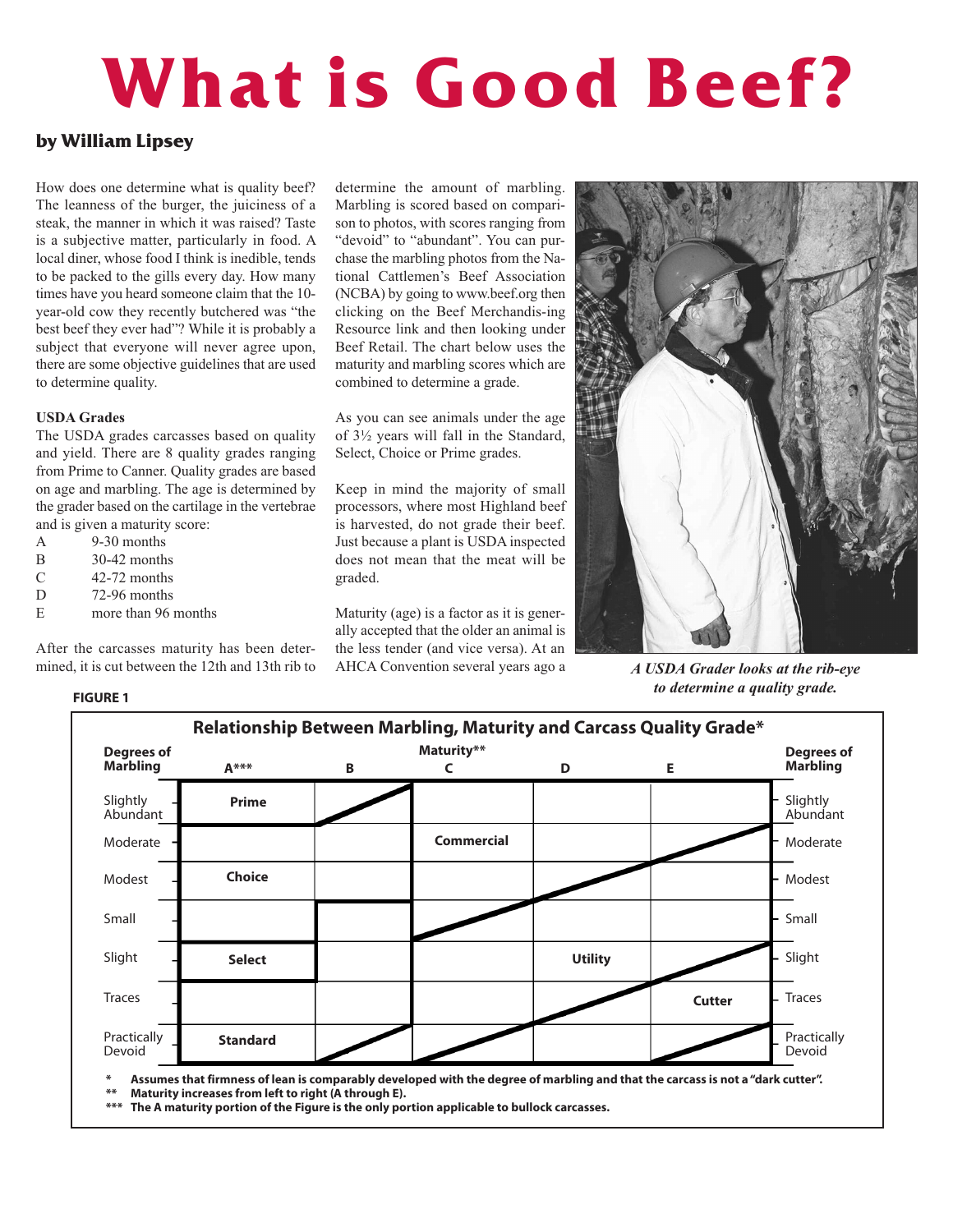# **What is Good Beef?**

# **by William Lipsey**

How does one determine what is quality beef? The leanness of the burger, the juiciness of a steak, the manner in which it was raised? Taste is a subjective matter, particularly in food. A local diner, whose food I think is inedible, tends to be packed to the gills every day. How many times have you heard someone claim that the 10 year-old cow they recently butchered was "the best beef they ever had"? While it is probably a subject that everyone will never agree upon, there are some objective guidelines that are used to determine quality.

## **USDA Grades**

The USDA grades carcasses based on quality and yield. There are 8 quality grades ranging from Prime to Canner. Quality grades are based on age and marbling. The age is determined by the grader based on the cartilage in the vertebrae and is given a maturity score:

- A 9-30 months
- B 30-42 months
- C 42-72 months
- D 72-96 months

**FIGURE 1**

E more than 96 months

After the carcasses maturity has been determined, it is cut between the 12th and 13th rib to

determine the amount of marbling. Marbling is scored based on comparison to photos, with scores ranging from "devoid" to "abundant". You can purchase the marbling photos from the National Cattlemen's Beef Association (NCBA) by going to www.beef.org then clicking on the Beef Merchandis-ing Resource link and then looking under Beef Retail. The chart below uses the maturity and marbling scores which are combined to determine a grade.

As you can see animals under the age of 3½ years will fall in the Standard, Select, Choice or Prime grades.

Keep in mind the majority of small processors, where most Highland beef is harvested, do not grade their beef. Just because a plant is USDA inspected does not mean that the meat will be graded.

Maturity (age) is a factor as it is generally accepted that the older an animal is the less tender (and vice versa). At an AHCA Convention several years ago a *A USDA Grader looks at the rib-eye*



*to determine a quality grade.*



\* Assumes that firmness of lean is comparably developed with the degree of marbling and that the carcass is not a "dark cutter".<br>\*\* Maturity increases from left to right (A through E) **\*\* Maturity increases from left to right (A through E).**

**\*\*\* The A maturity portion of the Figure is the only portion applicable to bullock carcasses.**